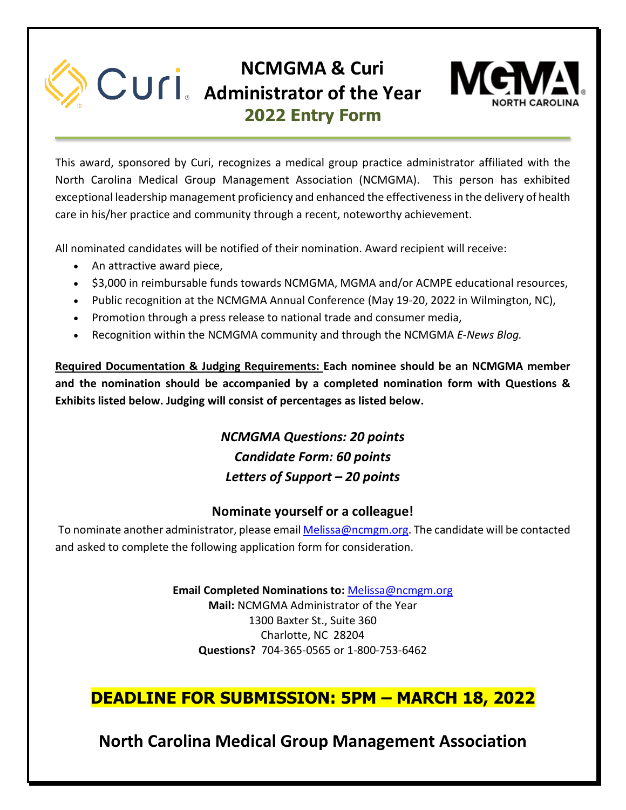## **NCMGMA & Curi Administrator of the Year 2022 Entry Form**



This award, sponsored by Curi, recognizes a medical group practice administrator affiliated with the North Carolina Medical Group Management Association (NCMGMA). This person has exhibited exceptional leadership management proficiency and enhanced the effectiveness in the delivery of health care in his/her practice and community through a recent, noteworthy achievement.

All nominated candidates will be notified of their nomination. Award recipient will receive:

- An attractive award piece,
- \$3,000 in reimbursable funds towards NCMGMA, MGMA and/or ACMPE educational resources,
- Public recognition at the NCMGMA Annual Conference (May 19-20, 2022 in Wilmington, NC),
- Promotion through a press release to national trade and consumer media,
- Recognition within the NCMGMA community and through the NCMGMA *E-News Blog.*

**Required Documentation & Judging Requirements: Each nominee should be an NCMGMA member and the nomination should be accompanied by a completed nomination form with Questions & Exhibits listed below. Judging will consist of percentages as listed below.** 

> *NCMGMA Questions: 20 points Candidate Form: 60 points Letters of Support – 20 points*

## **Nominate yourself or a colleague!**

To nominate another administrator, please emai[l Melissa@ncmgm.org.](mailto:Melissa@ncmgm.org) The candidate will be contacted and asked to complete the following application form for consideration.

> **Email Completed Nominations to:** [Melissa@ncmgm.org](mailto:Melissa@ncmgm.org) **Mail:** NCMGMA Administrator of the Year 1300 Baxter St., Suite 360 Charlotte, NC 28204 **Questions?** 704-365-0565 or 1-800-753-6462

## **DEADLINE FOR SUBMISSION: 5PM – MARCH 18, 2022**

**North Carolina Medical Group Management Association**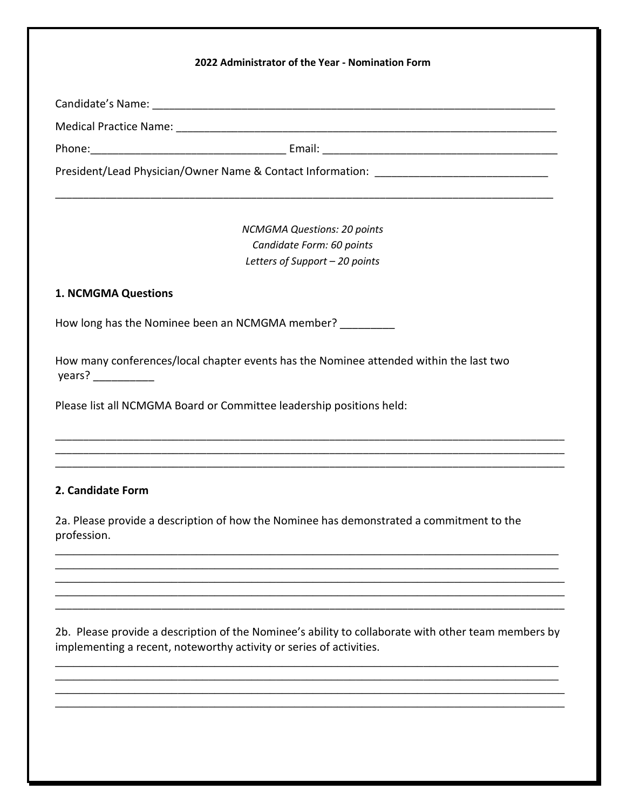|                            | President/Lead Physician/Owner Name & Contact Information: ______________________        |  |
|----------------------------|------------------------------------------------------------------------------------------|--|
|                            | <b>NCMGMA Questions: 20 points</b>                                                       |  |
|                            | Candidate Form: 60 points                                                                |  |
|                            | Letters of Support - 20 points                                                           |  |
| <b>1. NCMGMA Questions</b> |                                                                                          |  |
|                            | How long has the Nominee been an NCMGMA member?                                          |  |
| years?                     | How many conferences/local chapter events has the Nominee attended within the last two   |  |
|                            | Please list all NCMGMA Board or Committee leadership positions held:                     |  |
|                            |                                                                                          |  |
| 2. Candidate Form          |                                                                                          |  |
| profession.                | 2a. Please provide a description of how the Nominee has demonstrated a commitment to the |  |
|                            |                                                                                          |  |
|                            |                                                                                          |  |
|                            |                                                                                          |  |

 $\_$  $\_$